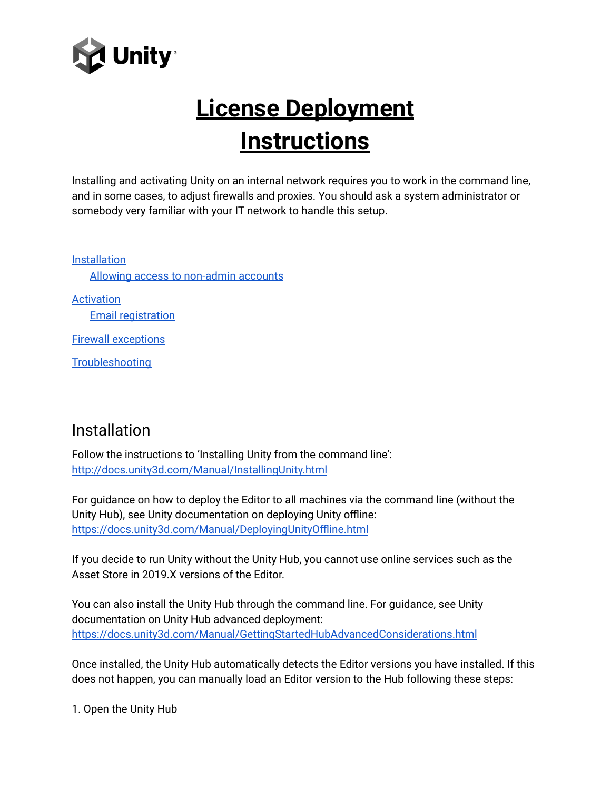

# **License Deployment Instructions**

Installing and activating Unity on an internal network requires you to work in the command line, and in some cases, to adjust firewalls and proxies. You should ask a system administrator or somebody very familiar with your IT network to handle this setup.

[Installation](#page-0-0) Allowing access to [non-admin](#page-1-0) accounts [Activation](#page-1-1) Email [registration](#page-2-0) Firewall [exceptions](#page-2-1) **[Troubleshooting](#page-3-0)** 

### <span id="page-0-0"></span>Installation

Follow the instructions to 'Installing Unity from the command line': <http://docs.unity3d.com/Manual/InstallingUnity.html>

For guidance on how to deploy the Editor to all machines via the command line (without the Unity Hub), see Unity documentation on deploying Unity offline: <https://docs.unity3d.com/Manual/DeployingUnityOffline.html>

If you decide to run Unity without the Unity Hub, you cannot use online services such as the Asset Store in 2019.X versions of the Editor.

You can also install the Unity Hub through the command line. For guidance, see Unity documentation on Unity Hub advanced deployment: <https://docs.unity3d.com/Manual/GettingStartedHubAdvancedConsiderations.html>

Once installed, the Unity Hub automatically detects the Editor versions you have installed. If this does not happen, you can manually load an Editor version to the Hub following these steps:

1. Open the Unity Hub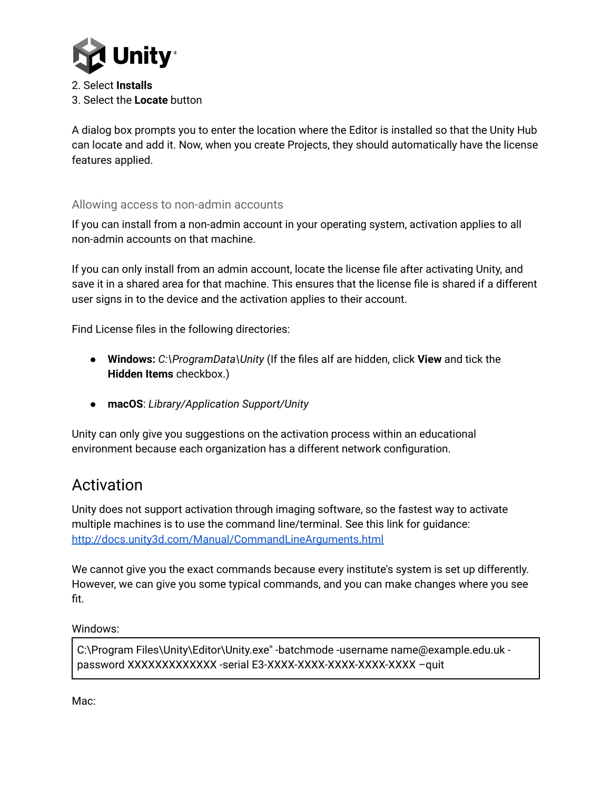

2. Select **Installs** 3. Select the **Locate** button

A dialog box prompts you to enter the location where the Editor is installed so that the Unity Hub can locate and add it. Now, when you create Projects, they should automatically have the license features applied.

#### <span id="page-1-0"></span>Allowing access to non-admin accounts

If you can install from a non-admin account in your operating system, activation applies to all non-admin accounts on that machine.

If you can only install from an admin account, locate the license file after activating Unity, and save it in a shared area for that machine. This ensures that the license file is shared if a different user signs in to the device and the activation applies to their account.

Find License files in the following directories:

- **Windows:** *C:\ProgramData\Unity* (If the files aIf are hidden, click **View** and tick the **Hidden Items** checkbox.)
- **macOS**: *Library/Application Support/Unity*

Unity can only give you suggestions on the activation process within an educational environment because each organization has a different network configuration.

## <span id="page-1-1"></span>Activation

Unity does not support activation through imaging software, so the fastest way to activate multiple machines is to use the command line/terminal. See this link for guidance: <http://docs.unity3d.com/Manual/CommandLineArguments.html>

We cannot give you the exact commands because every institute's system is set up differently. However, we can give you some typical commands, and you can make changes where you see fit.

Windows:

C:\Program Files\Unity\Editor\Unity.exe" -batchmode -username name@example.edu.uk password XXXXXXXXXXXXX -serial E3-XXXX-XXXX-XXXX-XXXX-XXXX –quit

Mac: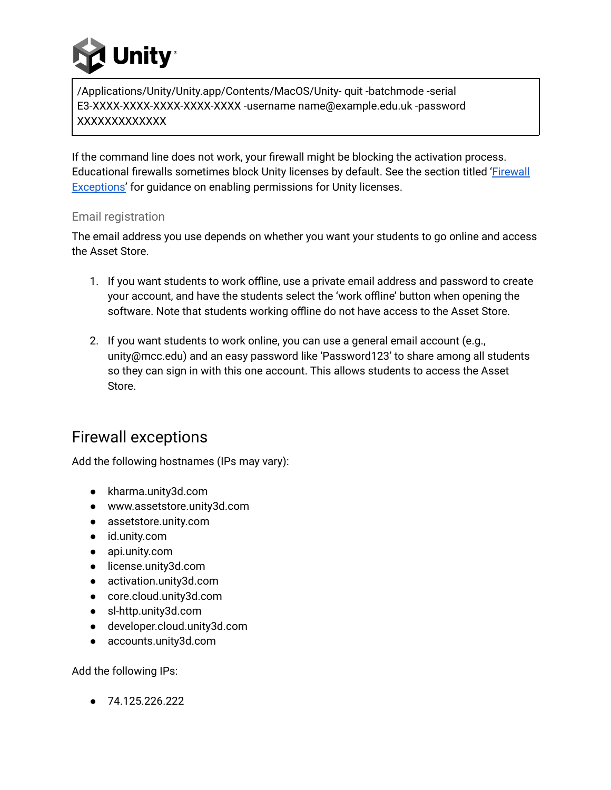

/Applications/Unity/Unity.app/Contents/MacOS/Unity- quit -batchmode -serial E3-XXXX-XXXX-XXXX-XXXX-XXXX -username name@example.edu.uk -password XXXXXXXXXXXXX

If the command line does not work, your firewall might be blocking the activation process. Educational firewalls sometimes block Unity licenses by default. See the section titled ['Firewall](#page-2-1) [Exceptions'](#page-2-1) for guidance on enabling permissions for Unity licenses.

#### <span id="page-2-0"></span>Email registration

The email address you use depends on whether you want your students to go online and access the Asset Store.

- 1. If you want students to work offline, use a private email address and password to create your account, and have the students select the 'work offline' button when opening the software. Note that students working offline do not have access to the Asset Store.
- 2. If you want students to work online, you can use a general email account (e.g., unity@mcc.edu) and an easy password like 'Password123' to share among all students so they can sign in with this one account. This allows students to access the Asset Store.

## <span id="page-2-1"></span>Firewall exceptions

Add the following hostnames (IPs may vary):

- kharma.unity3d.com
- www.assetstore.unity3d.com
- assetstore.unity.com
- id.unity.com
- api.unity.com
- license.unity3d.com
- activation.unity3d.com
- core.cloud.unity3d.com
- sl-http.unity3d.com
- developer.cloud.unity3d.com
- accounts.unity3d.com

Add the following IPs:

● 74.125.226.222